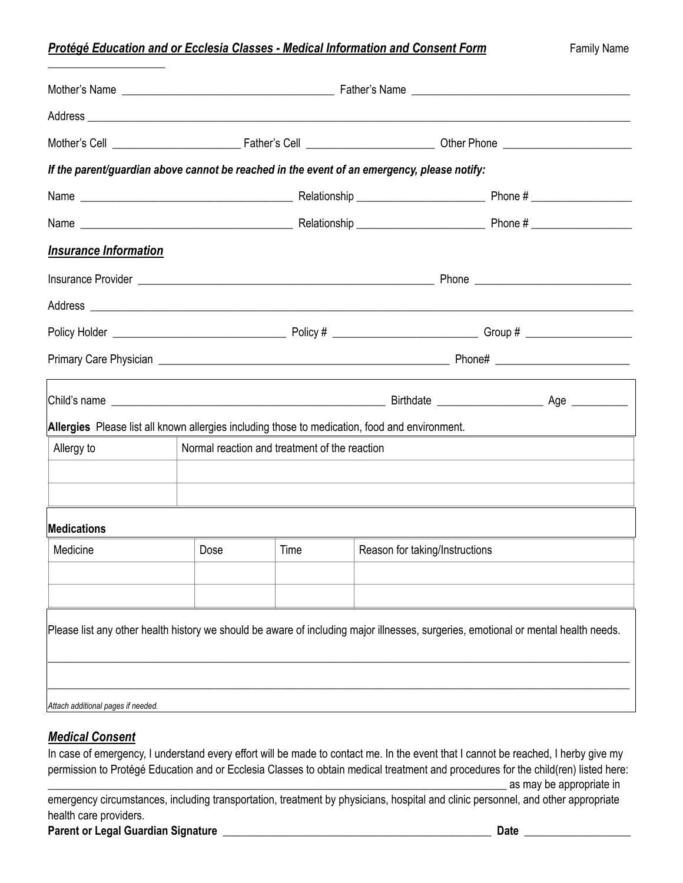## **Protégé Education and or Ecclesia Classes - Medical Information and Consent Form** Family Name

| If the parent/guardian above cannot be reached in the event of an emergency, please notify:                                                                                                                                          |      |                                               |                                |                                                                                                                      |  |  |  |
|--------------------------------------------------------------------------------------------------------------------------------------------------------------------------------------------------------------------------------------|------|-----------------------------------------------|--------------------------------|----------------------------------------------------------------------------------------------------------------------|--|--|--|
|                                                                                                                                                                                                                                      |      |                                               |                                |                                                                                                                      |  |  |  |
|                                                                                                                                                                                                                                      |      |                                               |                                |                                                                                                                      |  |  |  |
| <b>Insurance Information</b>                                                                                                                                                                                                         |      |                                               |                                |                                                                                                                      |  |  |  |
|                                                                                                                                                                                                                                      |      |                                               |                                |                                                                                                                      |  |  |  |
| Address <b>contract and a series of the contract of the contract of the contract of the contract of the contract of the contract of the contract of the contract of the contract of the contract of the contract of the contract</b> |      |                                               |                                |                                                                                                                      |  |  |  |
|                                                                                                                                                                                                                                      |      |                                               |                                |                                                                                                                      |  |  |  |
|                                                                                                                                                                                                                                      |      |                                               |                                |                                                                                                                      |  |  |  |
|                                                                                                                                                                                                                                      |      |                                               |                                |                                                                                                                      |  |  |  |
| Allergies Please list all known allergies including those to medication, food and environment.                                                                                                                                       |      |                                               |                                |                                                                                                                      |  |  |  |
| Allergy to                                                                                                                                                                                                                           |      | Normal reaction and treatment of the reaction |                                |                                                                                                                      |  |  |  |
|                                                                                                                                                                                                                                      |      |                                               |                                |                                                                                                                      |  |  |  |
| <b>Medications</b>                                                                                                                                                                                                                   |      |                                               |                                | <u> 1989 - Andrea Santa Andrea Andrea Andrea Andrea Andrea Andrea Andrea Andrea Andrea Andrea Andrea Andrea Andr</u> |  |  |  |
| Medicine                                                                                                                                                                                                                             | Dose | Time                                          | Reason for taking/Instructions |                                                                                                                      |  |  |  |
|                                                                                                                                                                                                                                      |      |                                               |                                |                                                                                                                      |  |  |  |
|                                                                                                                                                                                                                                      |      |                                               |                                |                                                                                                                      |  |  |  |
| Please list any other health history we should be aware of including major illnesses, surgeries, emotional or mental health needs.                                                                                                   |      |                                               |                                |                                                                                                                      |  |  |  |
|                                                                                                                                                                                                                                      |      |                                               |                                |                                                                                                                      |  |  |  |
| Attach additional pages if needed.                                                                                                                                                                                                   |      |                                               |                                |                                                                                                                      |  |  |  |

## *Medical Consent*

\_\_\_\_\_\_\_\_\_\_\_\_\_\_\_\_\_\_\_\_\_

In case of emergency, I understand every effort will be made to contact me. In the event that I cannot be reached, I herby give my permission to Protégé Education and or Ecclesia Classes to obtain medical treatment and procedures for the child(ren) listed here:

 $\equiv$  as may be appropriate in

emergency circumstances, including transportation, treatment by physicians, hospital and clinic personnel, and other appropriate health care providers.